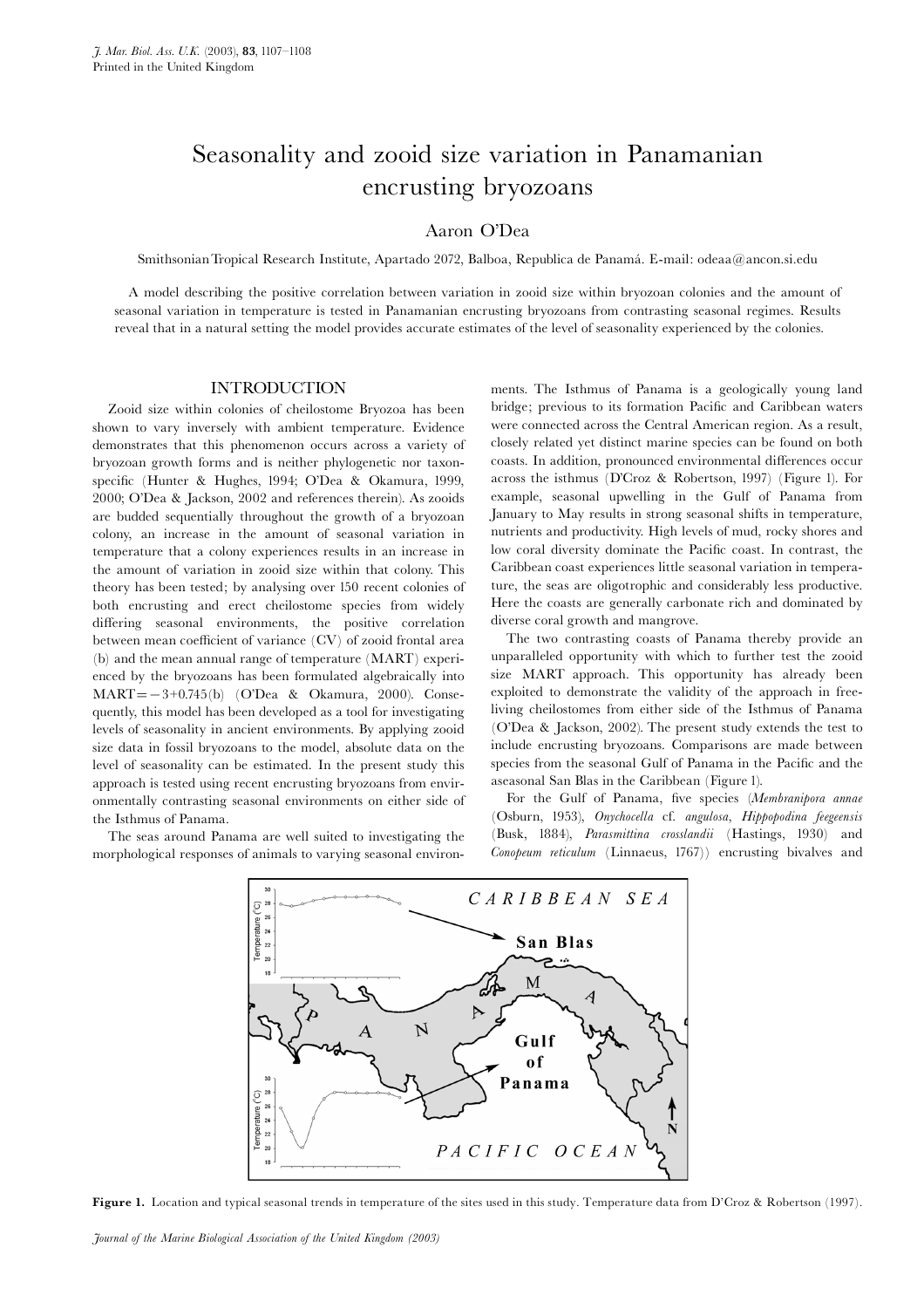## Seasonality and zooid size variation in Panamanian encrusting bryozoans

## Aaron O'Dea

Smithsonian Tropical Research Institute, Apartado 2072, Balboa, Republica de Panamá. E-mail: odeaa@ancon.si.edu

A model describing the positive correlation between variation in zooid size within bryozoan colonies and the amount of seasonal variation in temperature is tested in Panamanian encrusting bryozoans from contrasting seasonal regimes. Results reveal that in a natural setting the model provides accurate estimates of the level of seasonality experienced by the colonies.

## INTRODUCTION

Zooid size within colonies of cheilostome Bryozoa has been shown to vary inversely with ambient temperature. Evidence demonstrates that this phenomenon occurs across a variety of bryozoan growth forms and is neither phylogenetic nor taxonspecific (Hunter & Hughes, 1994; O'Dea & Okamura, 1999, 2000; O'Dea & Jackson, 2002 and references therein). As zooids are budded sequentially throughout the growth of a bryozoan colony, an increase in the amount of seasonal variation in temperature that a colony experiences results in an increase in the amount of variation in zooid size within that colony. This theory has been tested; by analysing over 150 recent colonies of both encrusting and erect cheilostome species from widely differing seasonal environments, the positive correlation between mean coefficient of variance (CV) of zooid frontal area (b) and the mean annual range of temperature (MART) experienced by the bryozoans has been formulated algebraically into  $MART = -3+0.745(b)$  (O'Dea & Okamura, 2000). Consequently, this model has been developed as a tool for investigating levels of seasonality in ancient environments. By applying zooid size data in fossil bryozoans to the model, absolute data on the level of seasonality can be estimated. In the present study this approach is tested using recent encrusting bryozoans from environmentally contrasting seasonal environments on either side of the Isthmus of Panama.

The seas around Panama are well suited to investigating the morphological responses of animals to varying seasonal environments. The Isthmus of Panama is a geologically young land bridge; previous to its formation Pacific and Caribbean waters were connected across the Central American region. As a result, closely related yet distinct marine species can be found on both coasts. In addition, pronounced environmental differences occur across the isthmus (D'Croz & Robertson, 1997) (Figure 1). For example, seasonal upwelling in the Gulf of Panama from January to May results in strong seasonal shifts in temperature, nutrients and productivity. High levels of mud, rocky shores and low coral diversity dominate the Pacific coast. In contrast, the Caribbean coast experiences little seasonal variation in temperature, the seas are oligotrophic and considerably less productive. Here the coasts are generally carbonate rich and dominated by diverse coral growth and mangrove.

The two contrasting coasts of Panama thereby provide an unparalleled opportunity with which to further test the zooid size MART approach. This opportunity has already been exploited to demonstrate the validity of the approach in freeliving cheilostomes from either side of the Isthmus of Panama (O'Dea & Jackson, 2002). The present study extends the test to include encrusting bryozoans. Comparisons are made between species from the seasonal Gulf of Panama in the Pacific and the aseasonal San Blas in the Caribbean (Figure 1).

For the Gulf of Panama, five species (Membranipora annae (Osburn, 1953), Onychocella cf. angulosa, Hippopodina feegeensis (Busk, 1884), Parasmittina crosslandii (Hastings, 1930) and Conopeum reticulum (Linnaeus, 1767)) encrusting bivalves and



Figure 1. Location and typical seasonal trends in temperature of the sites used in this study. Temperature data from D'Croz & Robertson (1997).